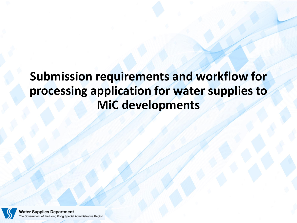# **Submission requirements and workflow for processing application for water supplies to MiC developments**

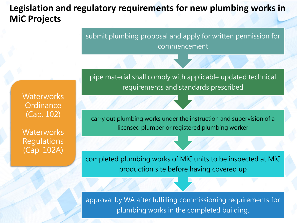#### **Legislation and regulatory requirements for new plumbing works in MiC Projects**

submit plumbing proposal and apply for written permission for commencement

pipe material shall comply with applicable updated technical requirements and standards prescribed

**Waterworks Ordinance** (Cap. 102)

**Waterworks Regulations** (Cap. 102A)

carry out plumbing works under the instruction and supervision of a licensed plumber or registered plumbing worker

completed plumbing works of MiC units to be inspected at MiC production site before having covered up

approval by WA after fulfilling commissioning requirements for plumbing works in the completed building.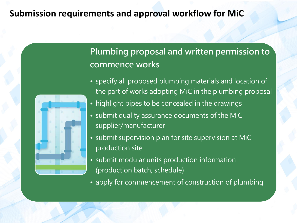### **Plumbing proposal and written permission to commence works**

- specify all proposed plumbing materials and location of the part of works adopting MiC in the plumbing proposal
- highlight pipes to be concealed in the drawings
- submit quality assurance documents of the MiC supplier/manufacturer
- submit supervision plan for site supervision at MiC production site
- submit modular units production information (production batch, schedule)
- apply for commencement of construction of plumbing

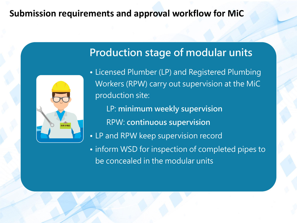

## **Production stage of modular units**

- Licensed Plumber (LP) and Registered Plumbing Workers (RPW) carry out supervision at the MiC production site:
	- LP: **minimum weekly supervision**
	- RPW: **continuous supervision**
- LP and RPW keep supervision record
- inform WSD for inspection of completed pipes to be concealed in the modular units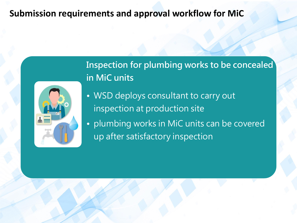

**Inspection for plumbing works to be concealed in MiC units**

- WSD deploys consultant to carry out inspection at production site
- plumbing works in MiC units can be covered up after satisfactory inspection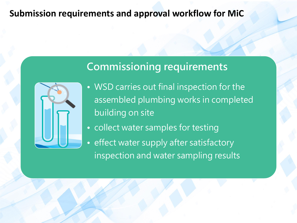# **Commissioning requirements**



- WSD carries out final inspection for the assembled plumbing works in completed building on site
- collect water samples for testing
- effect water supply after satisfactory inspection and water sampling results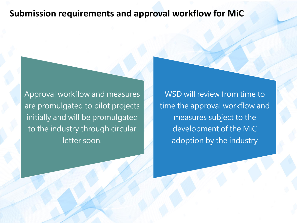Approval workflow and measures are promulgated to pilot projects initially and will be promulgated to the industry through circular letter soon.

WSD will review from time to time the approval workflow and measures subject to the development of the MiC adoption by the industry